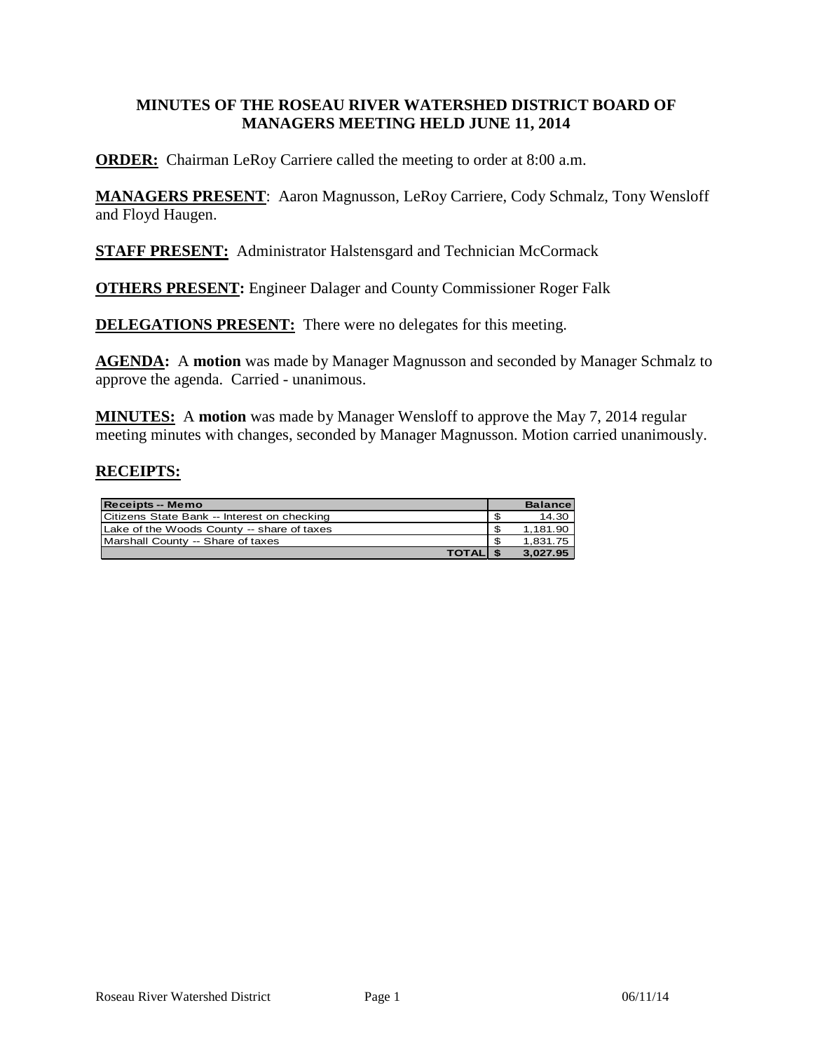### **MINUTES OF THE ROSEAU RIVER WATERSHED DISTRICT BOARD OF MANAGERS MEETING HELD JUNE 11, 2014**

**ORDER:** Chairman LeRoy Carriere called the meeting to order at 8:00 a.m.

**MANAGERS PRESENT**: Aaron Magnusson, LeRoy Carriere, Cody Schmalz, Tony Wensloff and Floyd Haugen.

**STAFF PRESENT:** Administrator Halstensgard and Technician McCormack

**OTHERS PRESENT:** Engineer Dalager and County Commissioner Roger Falk

**DELEGATIONS PRESENT:** There were no delegates for this meeting.

**AGENDA:** A **motion** was made by Manager Magnusson and seconded by Manager Schmalz to approve the agenda. Carried - unanimous.

**MINUTES:** A **motion** was made by Manager Wensloff to approve the May 7, 2014 regular meeting minutes with changes, seconded by Manager Magnusson. Motion carried unanimously.

### **RECEIPTS:**

| <b>Receipts -- Memo</b>                     |     | <b>Balance</b> |
|---------------------------------------------|-----|----------------|
| Citizens State Bank -- Interest on checking |     | 14.30          |
| Lake of the Woods County -- share of taxes  | \$  | 1.181.90       |
| Marshall County -- Share of taxes           | -\$ | 1.831.75       |
| <b>TOTALIS</b>                              |     | 3.027.95       |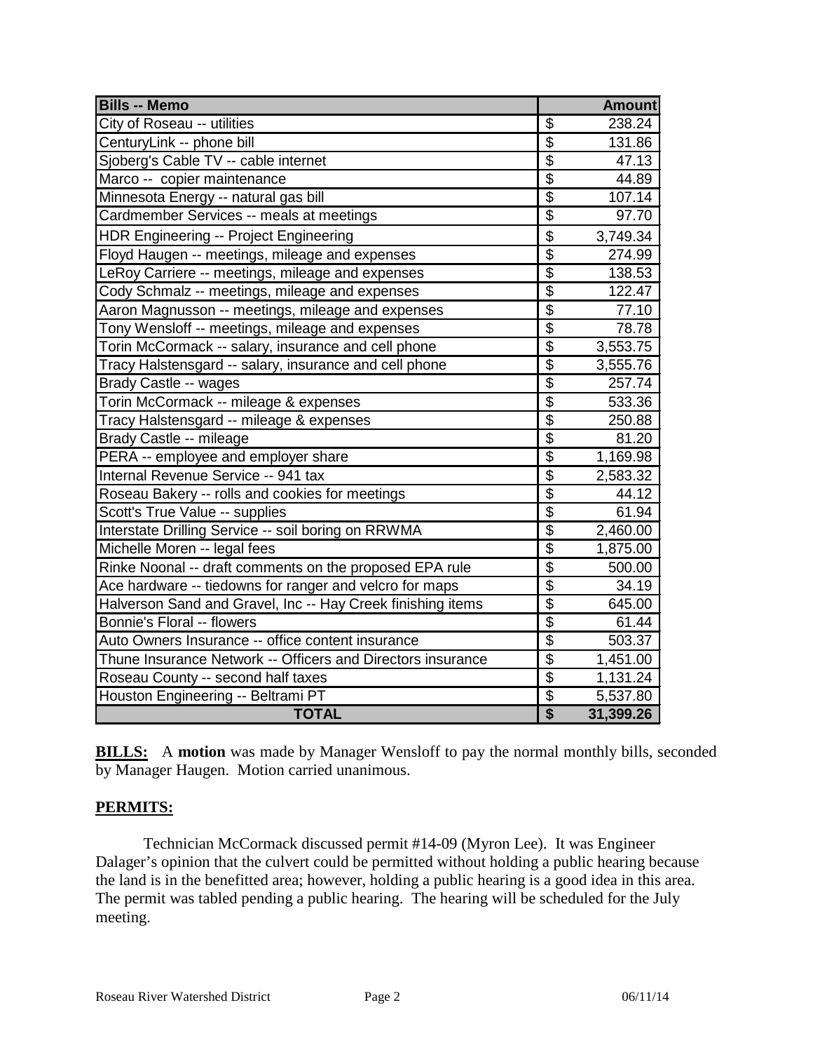| <b>Bills -- Memo</b>                                        |                            | <b>Amount</b> |
|-------------------------------------------------------------|----------------------------|---------------|
| City of Roseau -- utilities                                 | \$                         | 238.24        |
| CenturyLink -- phone bill                                   | $\overline{\mathbb{S}}$    | 131.86        |
| Sjoberg's Cable TV -- cable internet                        | $\overline{\$}$            | 47.13         |
| Marco -- copier maintenance                                 | \$                         | 44.89         |
| Minnesota Energy -- natural gas bill                        | $\overline{\$}$            | 107.14        |
| Cardmember Services -- meals at meetings                    | \$                         | 97.70         |
| <b>HDR Engineering -- Project Engineering</b>               | \$                         | 3,749.34      |
| Floyd Haugen -- meetings, mileage and expenses              | $\overline{\$}$            | 274.99        |
| LeRoy Carriere -- meetings, mileage and expenses            | \$                         | 138.53        |
| Cody Schmalz -- meetings, mileage and expenses              | $\overline{\overline{\$}}$ | 122.47        |
| Aaron Magnusson -- meetings, mileage and expenses           | \$                         | 77.10         |
| Tony Wensloff -- meetings, mileage and expenses             | $\overline{\$}$            | 78.78         |
| Torin McCormack -- salary, insurance and cell phone         | $\overline{\$}$            | 3,553.75      |
| Tracy Halstensgard -- salary, insurance and cell phone      | $\overline{\mathcal{L}}$   | 3,555.76      |
| Brady Castle -- wages                                       | $\overline{\$}$            | 257.74        |
| Torin McCormack -- mileage & expenses                       | \$                         | 533.36        |
| Tracy Halstensgard -- mileage & expenses                    | $\overline{\$}$            | 250.88        |
| Brady Castle -- mileage                                     | $\overline{\mathcal{C}}$   | 81.20         |
| PERA -- employee and employer share                         | $\overline{\$}$            | 1,169.98      |
| Internal Revenue Service -- 941 tax                         | \$                         | 2,583.32      |
| Roseau Bakery -- rolls and cookies for meetings             | $\overline{\$}$            | 44.12         |
| Scott's True Value -- supplies                              | \$                         | 61.94         |
| Interstate Drilling Service -- soil boring on RRWMA         | \$                         | 2,460.00      |
| Michelle Moren -- legal fees                                | $\overline{\$}$            | 1,875.00      |
| Rinke Noonal -- draft comments on the proposed EPA rule     | $\overline{\mathcal{L}}$   | 500.00        |
| Ace hardware -- tiedowns for ranger and velcro for maps     | $\overline{\$}$            | 34.19         |
| Halverson Sand and Gravel, Inc -- Hay Creek finishing items | $\overline{\$}$            | 645.00        |
| Bonnie's Floral -- flowers                                  | $\overline{\$}$            | 61.44         |
| Auto Owners Insurance -- office content insurance           | $\overline{\$}$            | 503.37        |
| Thune Insurance Network -- Officers and Directors insurance | $\overline{\mathcal{L}}$   | 1,451.00      |
| Roseau County -- second half taxes                          | $\overline{\mathcal{L}}$   | 1,131.24      |
| Houston Engineering -- Beltrami PT                          | $\overline{\$}$            | 5,537.80      |
| <b>TOTAL</b>                                                | $\overline{\$}$            | 31,399.26     |

**BILLS:** A motion was made by Manager Wensloff to pay the normal monthly bills, seconded by Manager Haugen. Motion carried unanimous.

#### **PERMITS:**

Technician McCormack discussed permit #14-09 (Myron Lee). It was Engineer Dalager's opinion that the culvert could be permitted without holding a public hearing because the land is in the benefitted area; however, holding a public hearing is a good idea in this area. The permit was tabled pending a public hearing. The hearing will be scheduled for the July meeting.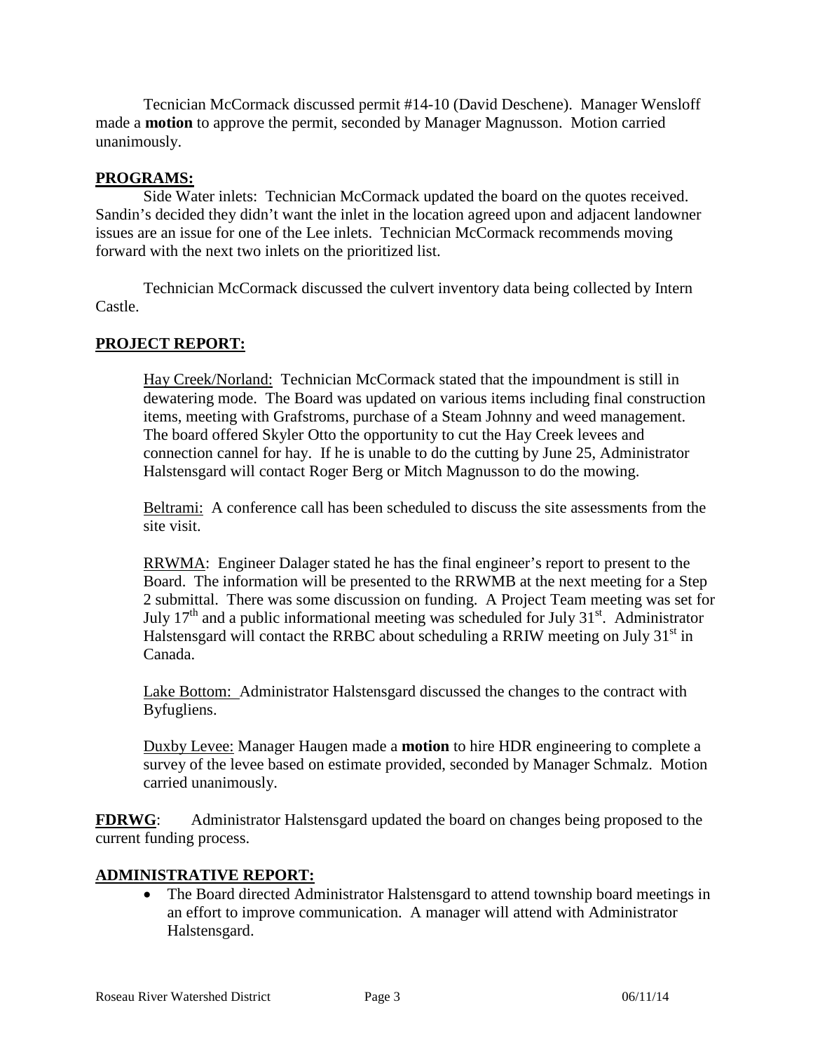Tecnician McCormack discussed permit #14-10 (David Deschene). Manager Wensloff made a **motion** to approve the permit, seconded by Manager Magnusson. Motion carried unanimously.

### **PROGRAMS:**

Side Water inlets: Technician McCormack updated the board on the quotes received. Sandin's decided they didn't want the inlet in the location agreed upon and adjacent landowner issues are an issue for one of the Lee inlets. Technician McCormack recommends moving forward with the next two inlets on the prioritized list.

Technician McCormack discussed the culvert inventory data being collected by Intern Castle.

# **PROJECT REPORT:**

Hay Creek/Norland: Technician McCormack stated that the impoundment is still in dewatering mode. The Board was updated on various items including final construction items, meeting with Grafstroms, purchase of a Steam Johnny and weed management. The board offered Skyler Otto the opportunity to cut the Hay Creek levees and connection cannel for hay. If he is unable to do the cutting by June 25, Administrator Halstensgard will contact Roger Berg or Mitch Magnusson to do the mowing.

Beltrami: A conference call has been scheduled to discuss the site assessments from the site visit.

RRWMA: Engineer Dalager stated he has the final engineer's report to present to the Board. The information will be presented to the RRWMB at the next meeting for a Step 2 submittal. There was some discussion on funding. A Project Team meeting was set for July  $17<sup>th</sup>$  and a public informational meeting was scheduled for July  $31<sup>st</sup>$ . Administrator Halstensgard will contact the RRBC about scheduling a RRIW meeting on July  $31<sup>st</sup>$  in Canada.

Lake Bottom: Administrator Halstensgard discussed the changes to the contract with Byfugliens.

Duxby Levee: Manager Haugen made a **motion** to hire HDR engineering to complete a survey of the levee based on estimate provided, seconded by Manager Schmalz. Motion carried unanimously.

**FDRWG**: Administrator Halstensgard updated the board on changes being proposed to the current funding process.

#### **ADMINISTRATIVE REPORT:**

• The Board directed Administrator Halstensgard to attend township board meetings in an effort to improve communication. A manager will attend with Administrator Halstensgard.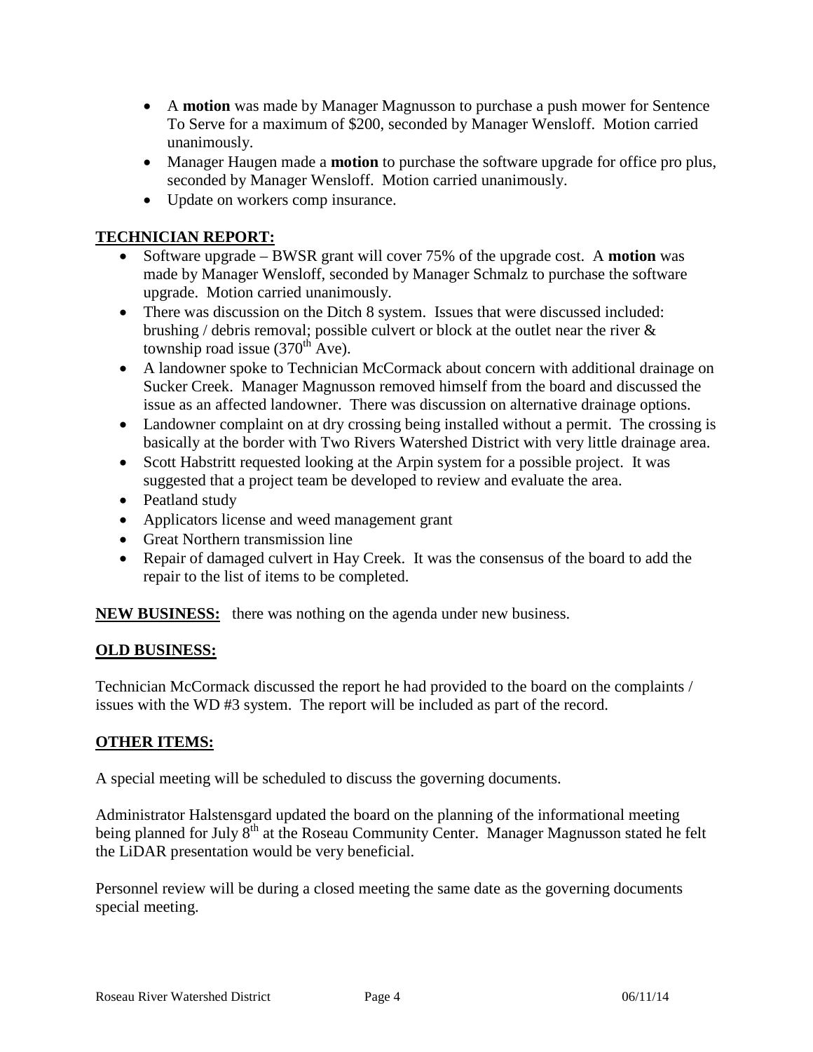- A **motion** was made by Manager Magnusson to purchase a push mower for Sentence To Serve for a maximum of \$200, seconded by Manager Wensloff. Motion carried unanimously.
- Manager Haugen made a **motion** to purchase the software upgrade for office pro plus, seconded by Manager Wensloff. Motion carried unanimously.
- Update on workers comp insurance.

# **TECHNICIAN REPORT:**

- Software upgrade BWSR grant will cover 75% of the upgrade cost. A **motion** was made by Manager Wensloff, seconded by Manager Schmalz to purchase the software upgrade. Motion carried unanimously.
- There was discussion on the Ditch 8 system. Issues that were discussed included: brushing / debris removal; possible culvert or block at the outlet near the river & township road issue  $(370<sup>th</sup> Ave)$ .
- A landowner spoke to Technician McCormack about concern with additional drainage on Sucker Creek. Manager Magnusson removed himself from the board and discussed the issue as an affected landowner. There was discussion on alternative drainage options.
- Landowner complaint on at dry crossing being installed without a permit. The crossing is basically at the border with Two Rivers Watershed District with very little drainage area.
- Scott Habstritt requested looking at the Arpin system for a possible project. It was suggested that a project team be developed to review and evaluate the area.
- Peatland study
- Applicators license and weed management grant
- Great Northern transmission line
- Repair of damaged culvert in Hay Creek. It was the consensus of the board to add the repair to the list of items to be completed.

**NEW BUSINESS:** there was nothing on the agenda under new business.

# **OLD BUSINESS:**

Technician McCormack discussed the report he had provided to the board on the complaints / issues with the WD #3 system. The report will be included as part of the record.

# **OTHER ITEMS:**

A special meeting will be scheduled to discuss the governing documents.

Administrator Halstensgard updated the board on the planning of the informational meeting being planned for July 8<sup>th</sup> at the Roseau Community Center. Manager Magnusson stated he felt the LiDAR presentation would be very beneficial.

Personnel review will be during a closed meeting the same date as the governing documents special meeting.